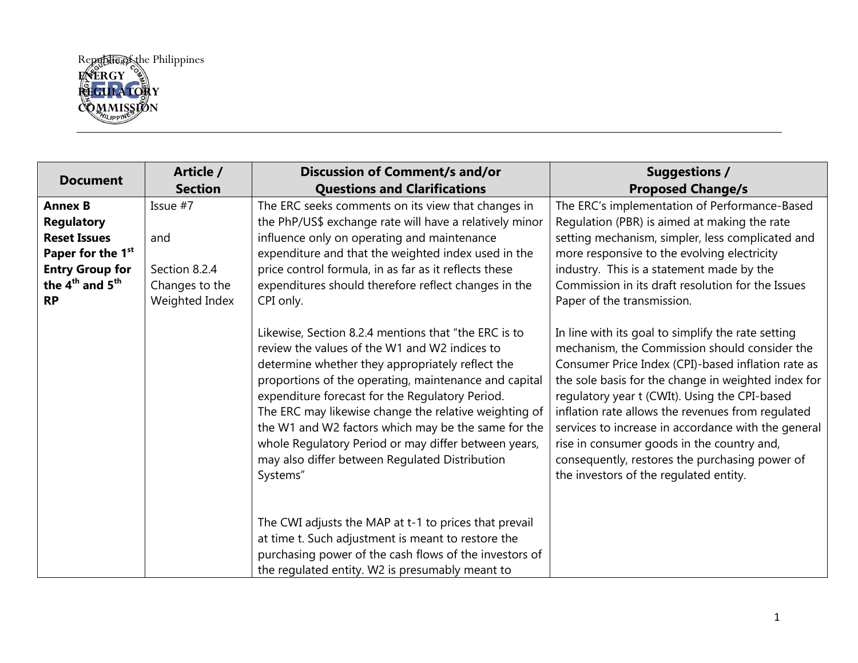

|                                         | Article /      | <b>Discussion of Comment/s and/or</b>                                                                                                                                                                                                                                                                                                                                                                                                                                                                       | <b>Suggestions /</b>                                                                                                                                                                                                                                                                                                                                                                                                                                                                                                    |
|-----------------------------------------|----------------|-------------------------------------------------------------------------------------------------------------------------------------------------------------------------------------------------------------------------------------------------------------------------------------------------------------------------------------------------------------------------------------------------------------------------------------------------------------------------------------------------------------|-------------------------------------------------------------------------------------------------------------------------------------------------------------------------------------------------------------------------------------------------------------------------------------------------------------------------------------------------------------------------------------------------------------------------------------------------------------------------------------------------------------------------|
| <b>Document</b>                         | <b>Section</b> | <b>Questions and Clarifications</b>                                                                                                                                                                                                                                                                                                                                                                                                                                                                         | <b>Proposed Change/s</b>                                                                                                                                                                                                                                                                                                                                                                                                                                                                                                |
| <b>Annex B</b>                          | Issue #7       | The ERC seeks comments on its view that changes in                                                                                                                                                                                                                                                                                                                                                                                                                                                          | The ERC's implementation of Performance-Based                                                                                                                                                                                                                                                                                                                                                                                                                                                                           |
| <b>Regulatory</b>                       |                | the PhP/US\$ exchange rate will have a relatively minor                                                                                                                                                                                                                                                                                                                                                                                                                                                     | Regulation (PBR) is aimed at making the rate                                                                                                                                                                                                                                                                                                                                                                                                                                                                            |
| <b>Reset Issues</b>                     | and            | influence only on operating and maintenance                                                                                                                                                                                                                                                                                                                                                                                                                                                                 | setting mechanism, simpler, less complicated and                                                                                                                                                                                                                                                                                                                                                                                                                                                                        |
| Paper for the 1 <sup>st</sup>           |                | expenditure and that the weighted index used in the                                                                                                                                                                                                                                                                                                                                                                                                                                                         | more responsive to the evolving electricity                                                                                                                                                                                                                                                                                                                                                                                                                                                                             |
| <b>Entry Group for</b>                  | Section 8.2.4  | price control formula, in as far as it reflects these                                                                                                                                                                                                                                                                                                                                                                                                                                                       | industry. This is a statement made by the                                                                                                                                                                                                                                                                                                                                                                                                                                                                               |
| the 4 <sup>th</sup> and 5 <sup>th</sup> | Changes to the | expenditures should therefore reflect changes in the                                                                                                                                                                                                                                                                                                                                                                                                                                                        | Commission in its draft resolution for the Issues                                                                                                                                                                                                                                                                                                                                                                                                                                                                       |
| <b>RP</b>                               | Weighted Index | CPI only.                                                                                                                                                                                                                                                                                                                                                                                                                                                                                                   | Paper of the transmission.                                                                                                                                                                                                                                                                                                                                                                                                                                                                                              |
|                                         |                | Likewise, Section 8.2.4 mentions that "the ERC is to<br>review the values of the W1 and W2 indices to<br>determine whether they appropriately reflect the<br>proportions of the operating, maintenance and capital<br>expenditure forecast for the Regulatory Period.<br>The ERC may likewise change the relative weighting of<br>the W1 and W2 factors which may be the same for the<br>whole Regulatory Period or may differ between years,<br>may also differ between Regulated Distribution<br>Systems" | In line with its goal to simplify the rate setting<br>mechanism, the Commission should consider the<br>Consumer Price Index (CPI)-based inflation rate as<br>the sole basis for the change in weighted index for<br>regulatory year t (CWIt). Using the CPI-based<br>inflation rate allows the revenues from regulated<br>services to increase in accordance with the general<br>rise in consumer goods in the country and,<br>consequently, restores the purchasing power of<br>the investors of the regulated entity. |
|                                         |                | The CWI adjusts the MAP at t-1 to prices that prevail<br>at time t. Such adjustment is meant to restore the<br>purchasing power of the cash flows of the investors of<br>the regulated entity. W2 is presumably meant to                                                                                                                                                                                                                                                                                    |                                                                                                                                                                                                                                                                                                                                                                                                                                                                                                                         |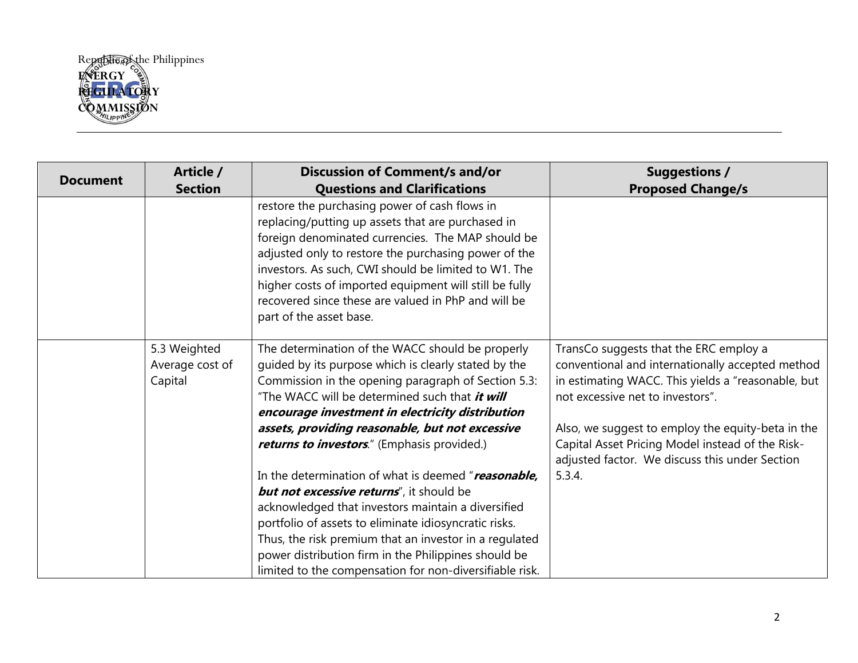

|                 | Article /                                  | <b>Discussion of Comment/s and/or</b>                                                                                                                                                                                                                                                                                                                                                                               | <b>Suggestions /</b>                                                                                                                                                                                                                                                                                                                            |
|-----------------|--------------------------------------------|---------------------------------------------------------------------------------------------------------------------------------------------------------------------------------------------------------------------------------------------------------------------------------------------------------------------------------------------------------------------------------------------------------------------|-------------------------------------------------------------------------------------------------------------------------------------------------------------------------------------------------------------------------------------------------------------------------------------------------------------------------------------------------|
| <b>Document</b> | <b>Section</b>                             | <b>Questions and Clarifications</b>                                                                                                                                                                                                                                                                                                                                                                                 | <b>Proposed Change/s</b>                                                                                                                                                                                                                                                                                                                        |
|                 |                                            | restore the purchasing power of cash flows in<br>replacing/putting up assets that are purchased in<br>foreign denominated currencies. The MAP should be<br>adjusted only to restore the purchasing power of the<br>investors. As such, CWI should be limited to W1. The<br>higher costs of imported equipment will still be fully<br>recovered since these are valued in PhP and will be<br>part of the asset base. |                                                                                                                                                                                                                                                                                                                                                 |
|                 | 5.3 Weighted<br>Average cost of<br>Capital | The determination of the WACC should be properly<br>guided by its purpose which is clearly stated by the<br>Commission in the opening paragraph of Section 5.3:<br>"The WACC will be determined such that <i>it will</i><br>encourage investment in electricity distribution<br>assets, providing reasonable, but not excessive<br>returns to investors." (Emphasis provided.)                                      | TransCo suggests that the ERC employ a<br>conventional and internationally accepted method<br>in estimating WACC. This yields a "reasonable, but<br>not excessive net to investors".<br>Also, we suggest to employ the equity-beta in the<br>Capital Asset Pricing Model instead of the Risk-<br>adjusted factor. We discuss this under Section |
|                 |                                            | In the determination of what is deemed "reasonable,<br><b>but not excessive returns''</b> , it should be<br>acknowledged that investors maintain a diversified<br>portfolio of assets to eliminate idiosyncratic risks.<br>Thus, the risk premium that an investor in a regulated<br>power distribution firm in the Philippines should be<br>limited to the compensation for non-diversifiable risk.                | 5.3.4.                                                                                                                                                                                                                                                                                                                                          |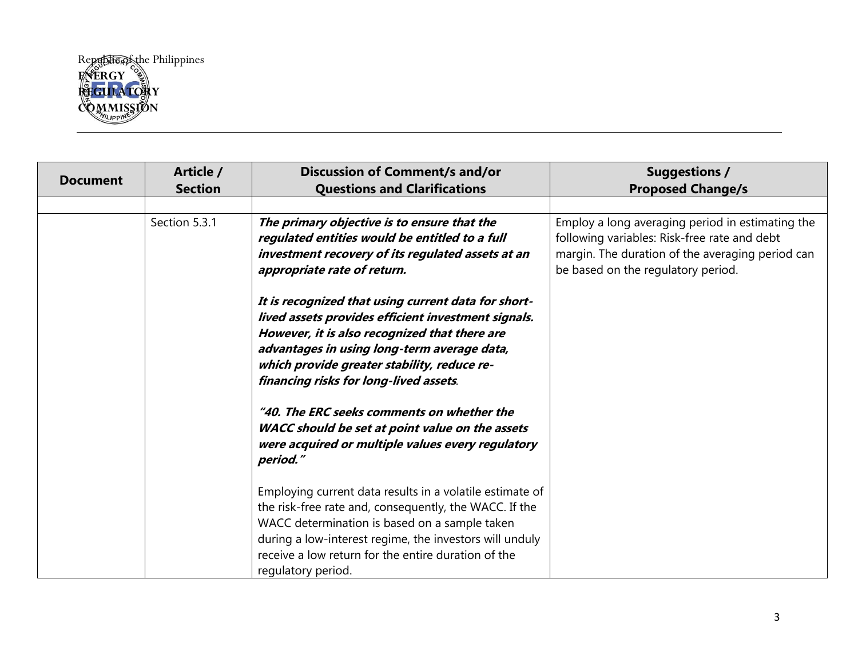

| <b>Document</b> | Article /<br><b>Section</b> | <b>Discussion of Comment/s and/or</b><br><b>Questions and Clarifications</b>                                                                                                                                                                                                                                | <b>Suggestions /</b><br><b>Proposed Change/s</b>                                                                                                                                           |
|-----------------|-----------------------------|-------------------------------------------------------------------------------------------------------------------------------------------------------------------------------------------------------------------------------------------------------------------------------------------------------------|--------------------------------------------------------------------------------------------------------------------------------------------------------------------------------------------|
|                 |                             |                                                                                                                                                                                                                                                                                                             |                                                                                                                                                                                            |
|                 | Section 5.3.1               | The primary objective is to ensure that the<br>regulated entities would be entitled to a full<br>investment recovery of its regulated assets at an<br>appropriate rate of return.                                                                                                                           | Employ a long averaging period in estimating the<br>following variables: Risk-free rate and debt<br>margin. The duration of the averaging period can<br>be based on the regulatory period. |
|                 |                             | It is recognized that using current data for short-<br>lived assets provides efficient investment signals.<br>However, it is also recognized that there are<br>advantages in using long-term average data,<br>which provide greater stability, reduce re-<br>financing risks for long-lived assets.         |                                                                                                                                                                                            |
|                 |                             | "40. The ERC seeks comments on whether the<br>WACC should be set at point value on the assets<br>were acquired or multiple values every regulatory<br>period."                                                                                                                                              |                                                                                                                                                                                            |
|                 |                             | Employing current data results in a volatile estimate of<br>the risk-free rate and, consequently, the WACC. If the<br>WACC determination is based on a sample taken<br>during a low-interest regime, the investors will unduly<br>receive a low return for the entire duration of the<br>regulatory period. |                                                                                                                                                                                            |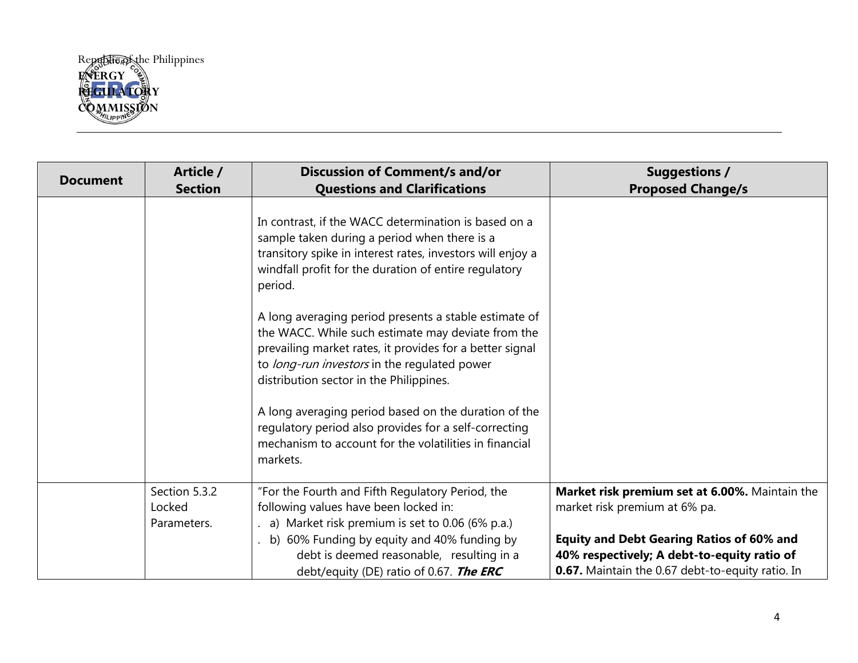

| <b>Document</b> | Article /<br><b>Section</b>            | <b>Discussion of Comment/s and/or</b><br><b>Questions and Clarifications</b>                                                                                                                                                                                       | <b>Suggestions /</b><br><b>Proposed Change/s</b>                                                                                                           |
|-----------------|----------------------------------------|--------------------------------------------------------------------------------------------------------------------------------------------------------------------------------------------------------------------------------------------------------------------|------------------------------------------------------------------------------------------------------------------------------------------------------------|
|                 |                                        | In contrast, if the WACC determination is based on a<br>sample taken during a period when there is a<br>transitory spike in interest rates, investors will enjoy a<br>windfall profit for the duration of entire regulatory<br>period.                             |                                                                                                                                                            |
|                 |                                        | A long averaging period presents a stable estimate of<br>the WACC. While such estimate may deviate from the<br>prevailing market rates, it provides for a better signal<br>to long-run investors in the regulated power<br>distribution sector in the Philippines. |                                                                                                                                                            |
|                 |                                        | A long averaging period based on the duration of the<br>regulatory period also provides for a self-correcting<br>mechanism to account for the volatilities in financial<br>markets.                                                                                |                                                                                                                                                            |
|                 | Section 5.3.2<br>Locked<br>Parameters. | "For the Fourth and Fifth Regulatory Period, the<br>following values have been locked in:<br>a) Market risk premium is set to 0.06 (6% p.a.)                                                                                                                       | Market risk premium set at 6.00%. Maintain the<br>market risk premium at 6% pa.                                                                            |
|                 |                                        | b) 60% Funding by equity and 40% funding by<br>debt is deemed reasonable, resulting in a<br>debt/equity (DE) ratio of 0.67. The ERC                                                                                                                                | <b>Equity and Debt Gearing Ratios of 60% and</b><br>40% respectively; A debt-to-equity ratio of<br><b>0.67.</b> Maintain the 0.67 debt-to-equity ratio. In |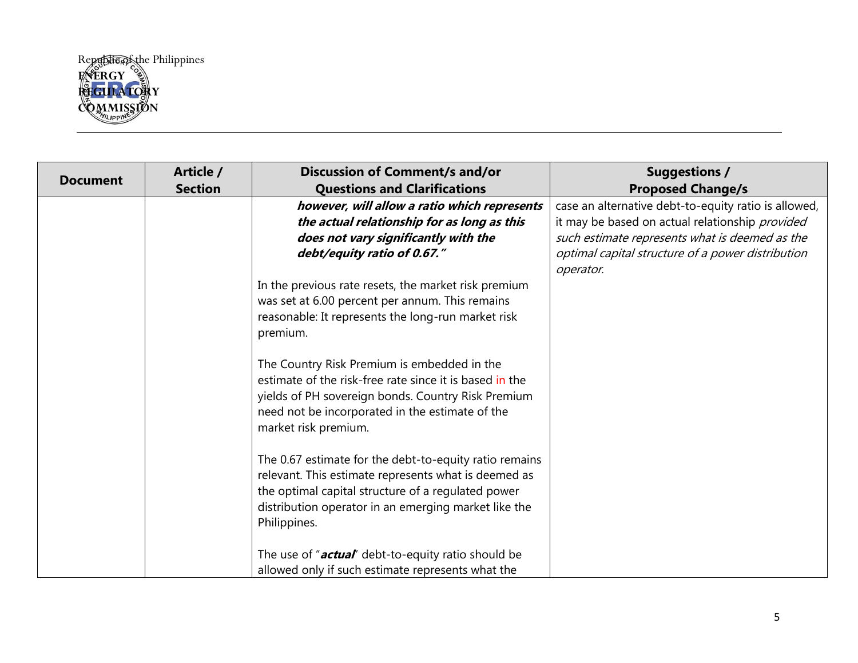

| <b>Document</b> | Article /      | <b>Discussion of Comment/s and/or</b>                                                                                                                                                                                                        | <b>Suggestions /</b>                                 |
|-----------------|----------------|----------------------------------------------------------------------------------------------------------------------------------------------------------------------------------------------------------------------------------------------|------------------------------------------------------|
|                 | <b>Section</b> | <b>Questions and Clarifications</b>                                                                                                                                                                                                          | <b>Proposed Change/s</b>                             |
|                 |                | however, will allow a ratio which represents                                                                                                                                                                                                 | case an alternative debt-to-equity ratio is allowed, |
|                 |                | the actual relationship for as long as this                                                                                                                                                                                                  | it may be based on actual relationship provided      |
|                 |                | does not vary significantly with the                                                                                                                                                                                                         | such estimate represents what is deemed as the       |
|                 |                | debt/equity ratio of 0.67."                                                                                                                                                                                                                  | optimal capital structure of a power distribution    |
|                 |                |                                                                                                                                                                                                                                              | operator.                                            |
|                 |                | In the previous rate resets, the market risk premium                                                                                                                                                                                         |                                                      |
|                 |                | was set at 6.00 percent per annum. This remains                                                                                                                                                                                              |                                                      |
|                 |                | reasonable: It represents the long-run market risk                                                                                                                                                                                           |                                                      |
|                 |                | premium.                                                                                                                                                                                                                                     |                                                      |
|                 |                | The Country Risk Premium is embedded in the<br>estimate of the risk-free rate since it is based in the<br>yields of PH sovereign bonds. Country Risk Premium<br>need not be incorporated in the estimate of the<br>market risk premium.      |                                                      |
|                 |                | The 0.67 estimate for the debt-to-equity ratio remains<br>relevant. This estimate represents what is deemed as<br>the optimal capital structure of a regulated power<br>distribution operator in an emerging market like the<br>Philippines. |                                                      |
|                 |                | The use of " <b>actual</b> " debt-to-equity ratio should be                                                                                                                                                                                  |                                                      |
|                 |                | allowed only if such estimate represents what the                                                                                                                                                                                            |                                                      |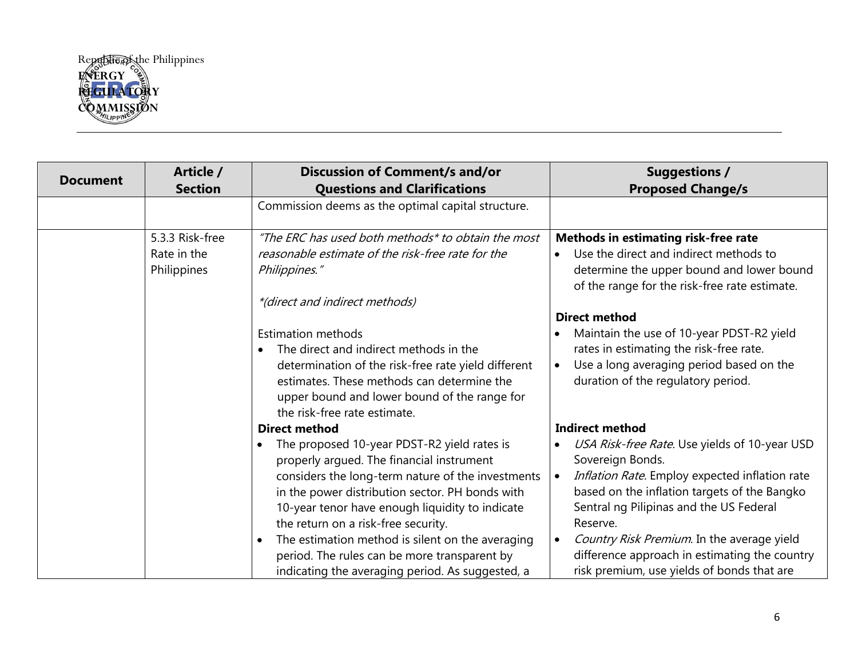

| <b>Document</b> | Article /<br><b>Section</b>                   | <b>Discussion of Comment/s and/or</b><br><b>Questions and Clarifications</b>                                                                                                                                                                                                                                                                                           | <b>Suggestions /</b><br><b>Proposed Change/s</b>                                                                                                                                                                                                                                                                             |
|-----------------|-----------------------------------------------|------------------------------------------------------------------------------------------------------------------------------------------------------------------------------------------------------------------------------------------------------------------------------------------------------------------------------------------------------------------------|------------------------------------------------------------------------------------------------------------------------------------------------------------------------------------------------------------------------------------------------------------------------------------------------------------------------------|
|                 |                                               | Commission deems as the optimal capital structure.                                                                                                                                                                                                                                                                                                                     |                                                                                                                                                                                                                                                                                                                              |
|                 | 5.3.3 Risk-free<br>Rate in the<br>Philippines | "The ERC has used both methods* to obtain the most<br>reasonable estimate of the risk-free rate for the<br>Philippines."                                                                                                                                                                                                                                               | <b>Methods in estimating risk-free rate</b><br>Use the direct and indirect methods to<br>$\bullet$<br>determine the upper bound and lower bound<br>of the range for the risk-free rate estimate.                                                                                                                             |
|                 |                                               | *(direct and indirect methods)                                                                                                                                                                                                                                                                                                                                         | <b>Direct method</b>                                                                                                                                                                                                                                                                                                         |
|                 |                                               | <b>Estimation methods</b><br>The direct and indirect methods in the<br>determination of the risk-free rate yield different<br>estimates. These methods can determine the<br>upper bound and lower bound of the range for<br>the risk-free rate estimate.                                                                                                               | Maintain the use of 10-year PDST-R2 yield<br>rates in estimating the risk-free rate.<br>Use a long averaging period based on the<br>$\bullet$<br>duration of the regulatory period.                                                                                                                                          |
|                 |                                               | <b>Direct method</b><br>The proposed 10-year PDST-R2 yield rates is<br>properly argued. The financial instrument<br>considers the long-term nature of the investments<br>in the power distribution sector. PH bonds with<br>10-year tenor have enough liquidity to indicate<br>the return on a risk-free security.<br>The estimation method is silent on the averaging | <b>Indirect method</b><br>USA Risk-free Rate. Use yields of 10-year USD<br>Sovereign Bonds.<br>Inflation Rate. Employ expected inflation rate<br>$\bullet$<br>based on the inflation targets of the Bangko<br>Sentral ng Pilipinas and the US Federal<br>Reserve.<br>Country Risk Premium. In the average yield<br>$\bullet$ |
|                 |                                               | period. The rules can be more transparent by<br>indicating the averaging period. As suggested, a                                                                                                                                                                                                                                                                       | difference approach in estimating the country<br>risk premium, use yields of bonds that are                                                                                                                                                                                                                                  |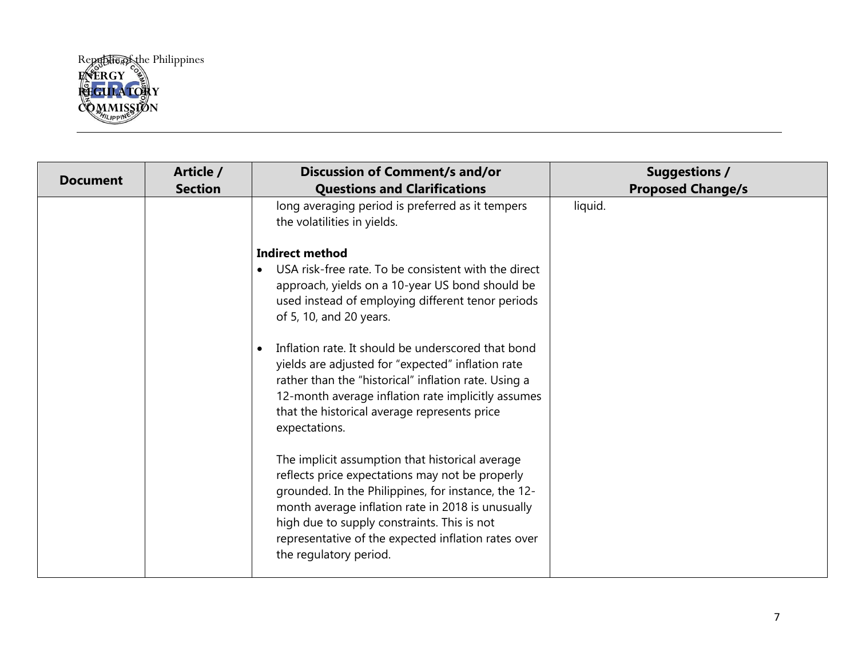

| <b>Document</b> | Article /<br><b>Section</b> | <b>Discussion of Comment/s and/or</b><br><b>Questions and Clarifications</b>                                                                                                                                                                                                                                                                   | <b>Suggestions /</b><br><b>Proposed Change/s</b> |
|-----------------|-----------------------------|------------------------------------------------------------------------------------------------------------------------------------------------------------------------------------------------------------------------------------------------------------------------------------------------------------------------------------------------|--------------------------------------------------|
|                 |                             | long averaging period is preferred as it tempers<br>the volatilities in yields.                                                                                                                                                                                                                                                                | liquid.                                          |
|                 |                             | <b>Indirect method</b><br>USA risk-free rate. To be consistent with the direct<br>approach, yields on a 10-year US bond should be<br>used instead of employing different tenor periods<br>of 5, 10, and 20 years.                                                                                                                              |                                                  |
|                 |                             | Inflation rate. It should be underscored that bond<br>yields are adjusted for "expected" inflation rate<br>rather than the "historical" inflation rate. Using a<br>12-month average inflation rate implicitly assumes<br>that the historical average represents price<br>expectations.                                                         |                                                  |
|                 |                             | The implicit assumption that historical average<br>reflects price expectations may not be properly<br>grounded. In the Philippines, for instance, the 12-<br>month average inflation rate in 2018 is unusually<br>high due to supply constraints. This is not<br>representative of the expected inflation rates over<br>the regulatory period. |                                                  |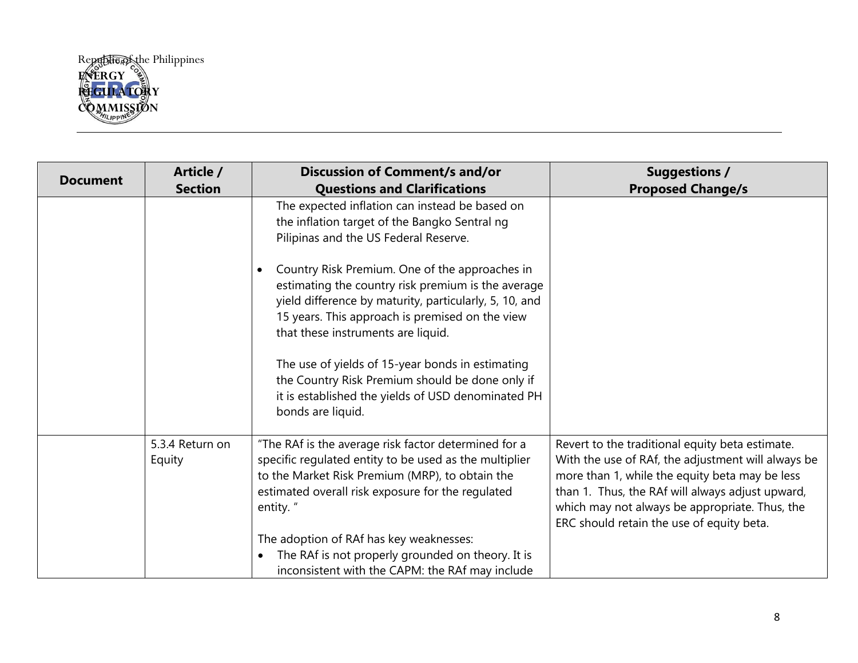

| <b>Document</b> | Article /                 | <b>Discussion of Comment/s and/or</b>                                                                                                                                                                                                                                                                                                                                                                                                     | <b>Suggestions /</b>                                                                                                                                                                                                                                                                                       |
|-----------------|---------------------------|-------------------------------------------------------------------------------------------------------------------------------------------------------------------------------------------------------------------------------------------------------------------------------------------------------------------------------------------------------------------------------------------------------------------------------------------|------------------------------------------------------------------------------------------------------------------------------------------------------------------------------------------------------------------------------------------------------------------------------------------------------------|
|                 | <b>Section</b>            | <b>Questions and Clarifications</b>                                                                                                                                                                                                                                                                                                                                                                                                       | <b>Proposed Change/s</b>                                                                                                                                                                                                                                                                                   |
|                 |                           | The expected inflation can instead be based on<br>the inflation target of the Bangko Sentral ng<br>Pilipinas and the US Federal Reserve.                                                                                                                                                                                                                                                                                                  |                                                                                                                                                                                                                                                                                                            |
|                 |                           | Country Risk Premium. One of the approaches in<br>estimating the country risk premium is the average<br>yield difference by maturity, particularly, 5, 10, and<br>15 years. This approach is premised on the view<br>that these instruments are liquid.<br>The use of yields of 15-year bonds in estimating<br>the Country Risk Premium should be done only if<br>it is established the yields of USD denominated PH<br>bonds are liquid. |                                                                                                                                                                                                                                                                                                            |
|                 | 5.3.4 Return on<br>Equity | "The RAf is the average risk factor determined for a<br>specific regulated entity to be used as the multiplier<br>to the Market Risk Premium (MRP), to obtain the<br>estimated overall risk exposure for the regulated<br>entity."<br>The adoption of RAf has key weaknesses:<br>The RAf is not properly grounded on theory. It is<br>$\bullet$<br>inconsistent with the CAPM: the RAf may include                                        | Revert to the traditional equity beta estimate.<br>With the use of RAf, the adjustment will always be<br>more than 1, while the equity beta may be less<br>than 1. Thus, the RAf will always adjust upward,<br>which may not always be appropriate. Thus, the<br>ERC should retain the use of equity beta. |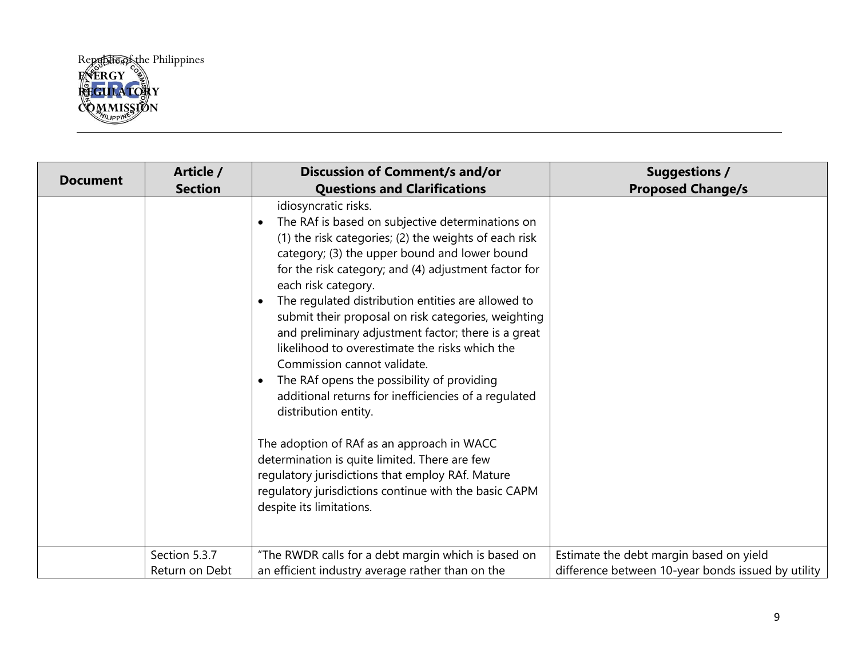

| <b>Document</b> | Article /      | <b>Discussion of Comment/s and/or</b>                                                                                                                                                                                                                                                                                                                                                                                                                                                                                                                                                                                                                             | <b>Suggestions /</b>                               |
|-----------------|----------------|-------------------------------------------------------------------------------------------------------------------------------------------------------------------------------------------------------------------------------------------------------------------------------------------------------------------------------------------------------------------------------------------------------------------------------------------------------------------------------------------------------------------------------------------------------------------------------------------------------------------------------------------------------------------|----------------------------------------------------|
|                 | <b>Section</b> | <b>Questions and Clarifications</b>                                                                                                                                                                                                                                                                                                                                                                                                                                                                                                                                                                                                                               | <b>Proposed Change/s</b>                           |
|                 |                | idiosyncratic risks.<br>The RAf is based on subjective determinations on<br>(1) the risk categories; (2) the weights of each risk<br>category; (3) the upper bound and lower bound<br>for the risk category; and (4) adjustment factor for<br>each risk category.<br>The regulated distribution entities are allowed to<br>$\bullet$<br>submit their proposal on risk categories, weighting<br>and preliminary adjustment factor; there is a great<br>likelihood to overestimate the risks which the<br>Commission cannot validate.<br>The RAf opens the possibility of providing<br>additional returns for inefficiencies of a regulated<br>distribution entity. |                                                    |
|                 |                | The adoption of RAf as an approach in WACC<br>determination is quite limited. There are few<br>regulatory jurisdictions that employ RAf. Mature<br>regulatory jurisdictions continue with the basic CAPM<br>despite its limitations.                                                                                                                                                                                                                                                                                                                                                                                                                              |                                                    |
|                 | Section 5.3.7  | "The RWDR calls for a debt margin which is based on                                                                                                                                                                                                                                                                                                                                                                                                                                                                                                                                                                                                               | Estimate the debt margin based on yield            |
|                 | Return on Debt | an efficient industry average rather than on the                                                                                                                                                                                                                                                                                                                                                                                                                                                                                                                                                                                                                  | difference between 10-year bonds issued by utility |